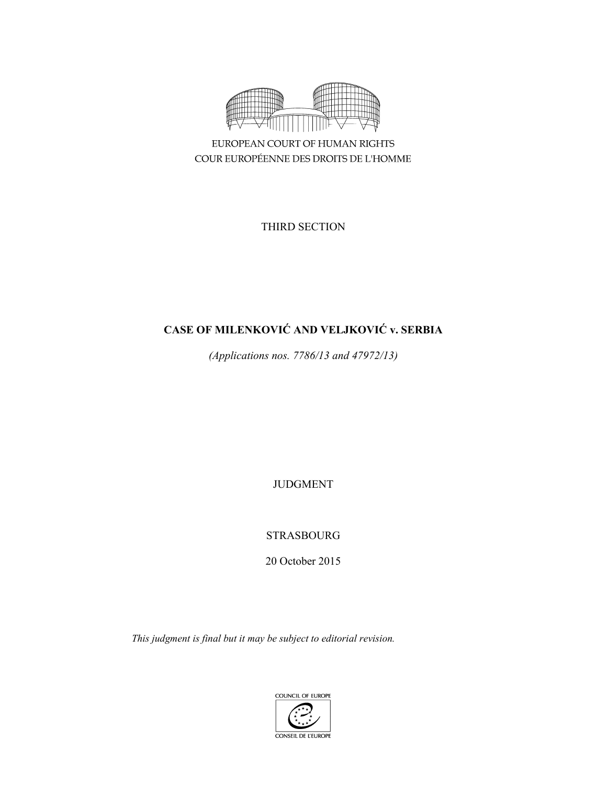

EUROPEAN COURT OF HUMAN RIGHTS COUR EUROPÉENNE DES DROITS DE L'HOMME

THIRD SECTION

# **CASE OF MILENKOVIĆ AND VELJKOVIĆ v. SERBIA**

*(Applications nos. 7786/13 and 47972/13)* 

JUDGMENT

STRASBOURG

20 October 2015

*This judgment is final but it may be subject to editorial revision.* 

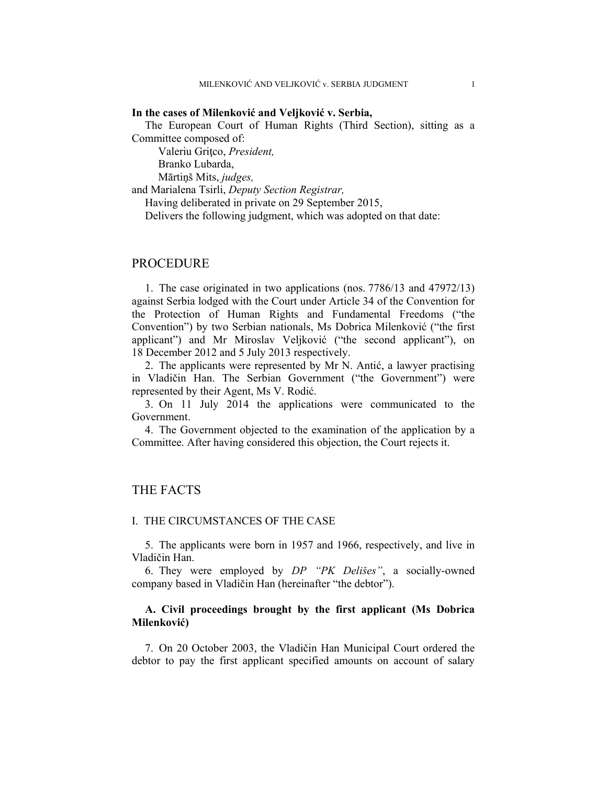#### **In the cases of Milenković and Veljković v. Serbia,**

The European Court of Human Rights (Third Section), sitting as a Committee composed of:

Valeriu Gritco, President, Branko Lubarda,

Mārtiņš Mits, *judges,*

and Marialena Tsirli, *Deputy Section Registrar,*

Having deliberated in private on 29 September 2015,

Delivers the following judgment, which was adopted on that date:

# PROCEDURE

1. The case originated in two applications (nos. 7786/13 and 47972/13) against Serbia lodged with the Court under Article 34 of the Convention for the Protection of Human Rights and Fundamental Freedoms ("the Convention") by two Serbian nationals, Ms Dobrica Milenković ("the first applicant") and Mr Miroslav Veljković ("the second applicant"), on 18 December 2012 and 5 July 2013 respectively.

2. The applicants were represented by Mr N. Antić, a lawyer practising in Vladičin Han. The Serbian Government ("the Government") were represented by their Agent, Ms V. Rodić.

3. On 11 July 2014 the applications were communicated to the Government.

4. The Government objected to the examination of the application by a Committee. After having considered this objection, the Court rejects it.

# THE FACTS

### I. THE CIRCUMSTANCES OF THE CASE

5. The applicants were born in 1957 and 1966, respectively, and live in Vladičin Han.

6. They were employed by *DP "PK Delišes"*, a socially-owned company based in Vladičin Han (hereinafter "the debtor").

### **A. Civil proceedings brought by the first applicant (Ms Dobrica Milenković)**

7. On 20 October 2003, the Vladičin Han Municipal Court ordered the debtor to pay the first applicant specified amounts on account of salary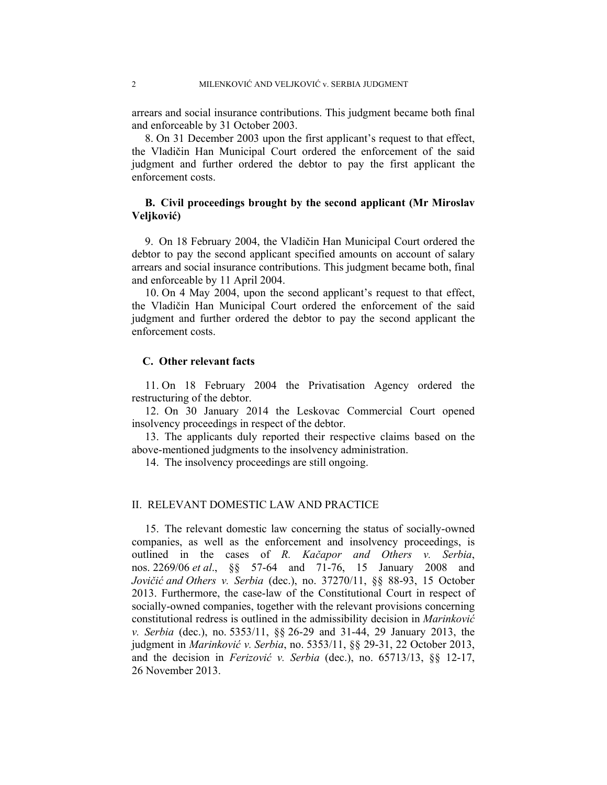arrears and social insurance contributions. This judgment became both final and enforceable by 31 October 2003.

8. On 31 December 2003 upon the first applicant's request to that effect, the Vladičin Han Municipal Court ordered the enforcement of the said judgment and further ordered the debtor to pay the first applicant the enforcement costs.

## **B. Civil proceedings brought by the second applicant (Mr Miroslav Veljković)**

9. On 18 February 2004, the Vladičin Han Municipal Court ordered the debtor to pay the second applicant specified amounts on account of salary arrears and social insurance contributions. This judgment became both, final and enforceable by 11 April 2004.

10. On 4 May 2004, upon the second applicant's request to that effect, the Vladičin Han Municipal Court ordered the enforcement of the said judgment and further ordered the debtor to pay the second applicant the enforcement costs.

### **C. Other relevant facts**

11. On 18 February 2004 the Privatisation Agency ordered the restructuring of the debtor.

12. On 30 January 2014 the Leskovac Commercial Court opened insolvency proceedings in respect of the debtor.

13. The applicants duly reported their respective claims based on the above-mentioned judgments to the insolvency administration.

14. The insolvency proceedings are still ongoing.

### II. RELEVANT DOMESTIC LAW AND PRACTICE

15. The relevant domestic law concerning the status of socially-owned companies, as well as the enforcement and insolvency proceedings, is outlined in the cases of *R. Kačapor and Others v. Serbia*, nos. 2269/06 *et al*., §§ 57-64 and 71-76, 15 January 2008 and *Jovičić and Others v. Serbia* (dec.), no. 37270/11, §§ 88-93, 15 October 2013. Furthermore, the case-law of the Constitutional Court in respect of socially-owned companies, together with the relevant provisions concerning constitutional redress is outlined in the admissibility decision in *Marinković v. Serbia* (dec.), no. 5353/11, §§ 26-29 and 31-44, 29 January 2013, the judgment in *Marinković v. Serbia*, no. 5353/11, §§ 29-31, 22 October 2013, and the decision in *Ferizović v. Serbia* (dec.), no. 65713/13, §§ 12-17, 26 November 2013.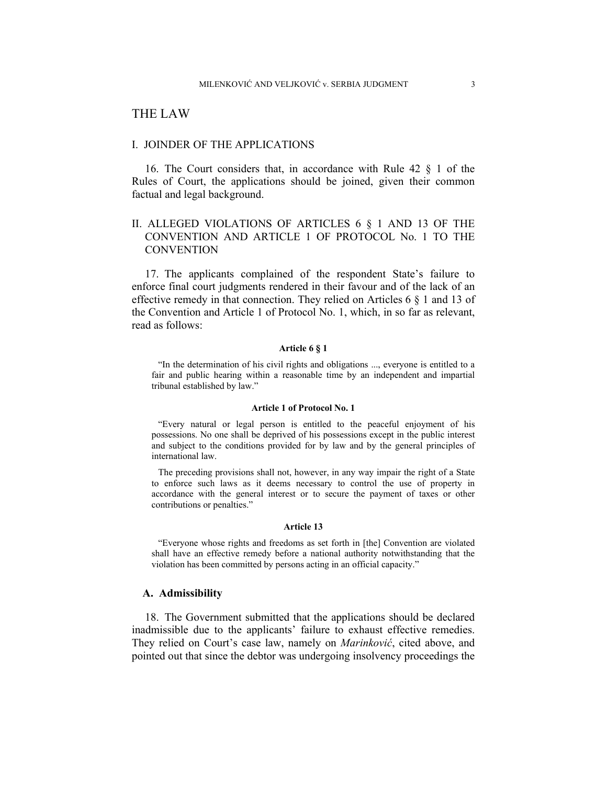# THE LAW

#### I. JOINDER OF THE APPLICATIONS

16. The Court considers that, in accordance with Rule 42 § 1 of the Rules of Court, the applications should be joined, given their common factual and legal background.

# II. ALLEGED VIOLATIONS OF ARTICLES 6 § 1 AND 13 OF THE CONVENTION AND ARTICLE 1 OF PROTOCOL No. 1 TO THE **CONVENTION**

17. The applicants complained of the respondent State's failure to enforce final court judgments rendered in their favour and of the lack of an effective remedy in that connection. They relied on Articles 6 § 1 and 13 of the Convention and Article 1 of Protocol No. 1, which, in so far as relevant, read as follows:

#### **Article 6 § 1**

"In the determination of his civil rights and obligations ..., everyone is entitled to a fair and public hearing within a reasonable time by an independent and impartial tribunal established by law."

#### **Article 1 of Protocol No. 1**

"Every natural or legal person is entitled to the peaceful enjoyment of his possessions. No one shall be deprived of his possessions except in the public interest and subject to the conditions provided for by law and by the general principles of international law.

The preceding provisions shall not, however, in any way impair the right of a State to enforce such laws as it deems necessary to control the use of property in accordance with the general interest or to secure the payment of taxes or other contributions or penalties."

#### **Article 13**

"Everyone whose rights and freedoms as set forth in [the] Convention are violated shall have an effective remedy before a national authority notwithstanding that the violation has been committed by persons acting in an official capacity."

### **A. Admissibility**

18. The Government submitted that the applications should be declared inadmissible due to the applicants' failure to exhaust effective remedies. They relied on Court's case law, namely on *Marinković*, cited above, and pointed out that since the debtor was undergoing insolvency proceedings the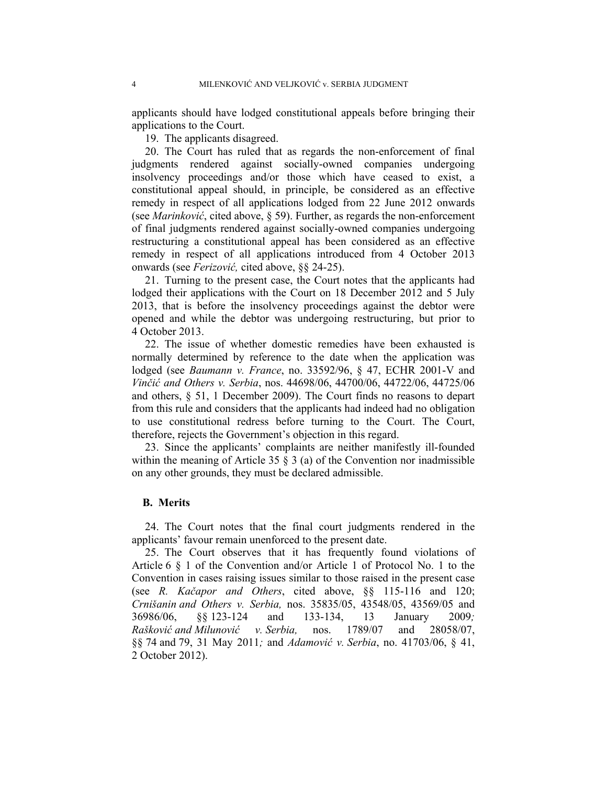applicants should have lodged constitutional appeals before bringing their applications to the Court.

19. The applicants disagreed.

20. The Court has ruled that as regards the non-enforcement of final judgments rendered against socially-owned companies undergoing insolvency proceedings and/or those which have ceased to exist, a constitutional appeal should, in principle, be considered as an effective remedy in respect of all applications lodged from 22 June 2012 onwards (see *Marinković*, cited above, § 59). Further, as regards the non-enforcement of final judgments rendered against socially-owned companies undergoing restructuring a constitutional appeal has been considered as an effective remedy in respect of all applications introduced from 4 October 2013 onwards (see *Ferizović,* cited above, §§ 24-25).

21. Turning to the present case, the Court notes that the applicants had lodged their applications with the Court on 18 December 2012 and 5 July 2013, that is before the insolvency proceedings against the debtor were opened and while the debtor was undergoing restructuring, but prior to 4 October 2013.

22. The issue of whether domestic remedies have been exhausted is normally determined by reference to the date when the application was lodged (see *Baumann v. France*, no. 33592/96, § 47, ECHR 2001-V and *Vinčić and Others v. Serbia*, nos. 44698/06, 44700/06, 44722/06, 44725/06 and others, § 51, 1 December 2009). The Court finds no reasons to depart from this rule and considers that the applicants had indeed had no obligation to use constitutional redress before turning to the Court. The Court, therefore, rejects the Government's objection in this regard.

23. Since the applicants' complaints are neither manifestly ill-founded within the meaning of Article 35  $\S$  3 (a) of the Convention nor inadmissible on any other grounds, they must be declared admissible.

#### **B. Merits**

24. The Court notes that the final court judgments rendered in the applicants' favour remain unenforced to the present date.

25. The Court observes that it has frequently found violations of Article 6 § 1 of the Convention and/or Article 1 of Protocol No. 1 to the Convention in cases raising issues similar to those raised in the present case (see *R. Kačapor and Others*, cited above, §§ 115-116 and 120; *Crnišanin and Others v. Serbia,* nos. 35835/05, 43548/05, 43569/05 and 36986/06, §§ 123-124 and 133-134, 13 January 2009*; Rašković and Milunović v. Serbia,* nos. 1789/07 and 28058/07, §§ 74 and 79, 31 May 2011*;* and *Adamović v. Serbia*, no. 41703/06, § 41, 2 October 2012).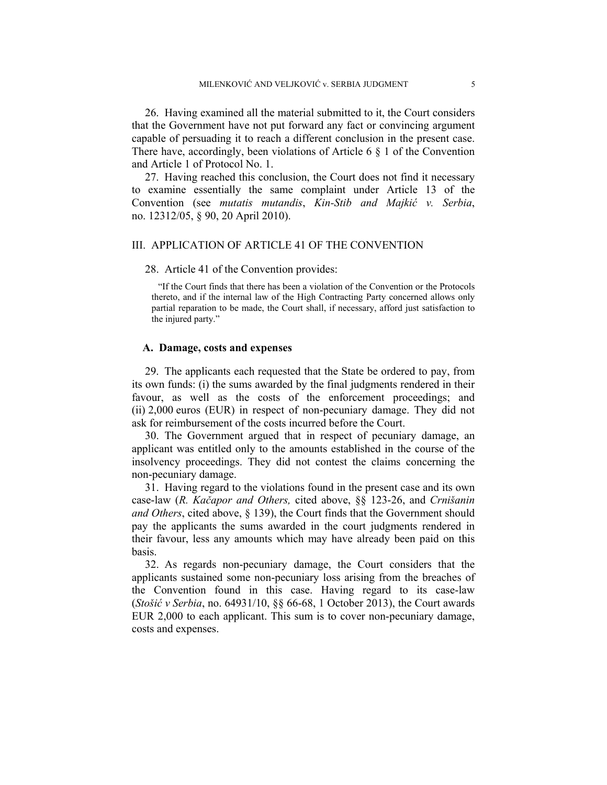26. Having examined all the material submitted to it, the Court considers that the Government have not put forward any fact or convincing argument capable of persuading it to reach a different conclusion in the present case. There have, accordingly, been violations of Article 6  $\S$  1 of the Convention and Article 1 of Protocol No. 1.

27. Having reached this conclusion, the Court does not find it necessary to examine essentially the same complaint under Article 13 of the Convention (see *mutatis mutandis*, *Kin-Stib and Majkić v. Serbia*, no. 12312/05, § 90, 20 April 2010).

### III. APPLICATION OF ARTICLE 41 OF THE CONVENTION

#### 28. Article 41 of the Convention provides:

"If the Court finds that there has been a violation of the Convention or the Protocols thereto, and if the internal law of the High Contracting Party concerned allows only partial reparation to be made, the Court shall, if necessary, afford just satisfaction to the injured party."

#### **A. Damage, costs and expenses**

29. The applicants each requested that the State be ordered to pay, from its own funds: (i) the sums awarded by the final judgments rendered in their favour, as well as the costs of the enforcement proceedings; and (ii) 2,000 euros (EUR) in respect of non-pecuniary damage. They did not ask for reimbursement of the costs incurred before the Court.

30. The Government argued that in respect of pecuniary damage, an applicant was entitled only to the amounts established in the course of the insolvency proceedings. They did not contest the claims concerning the non-pecuniary damage.

31. Having regard to the violations found in the present case and its own case-law (*R. Kačapor and Others,* cited above, §§ 123-26, and *Crnišanin and Others*, cited above, § 139), the Court finds that the Government should pay the applicants the sums awarded in the court judgments rendered in their favour, less any amounts which may have already been paid on this basis.

32. As regards non-pecuniary damage, the Court considers that the applicants sustained some non-pecuniary loss arising from the breaches of the Convention found in this case. Having regard to its case-law (*Stošić v Serbia*, no. 64931/10, §§ 66-68, 1 October 2013), the Court awards EUR 2,000 to each applicant. This sum is to cover non-pecuniary damage, costs and expenses.